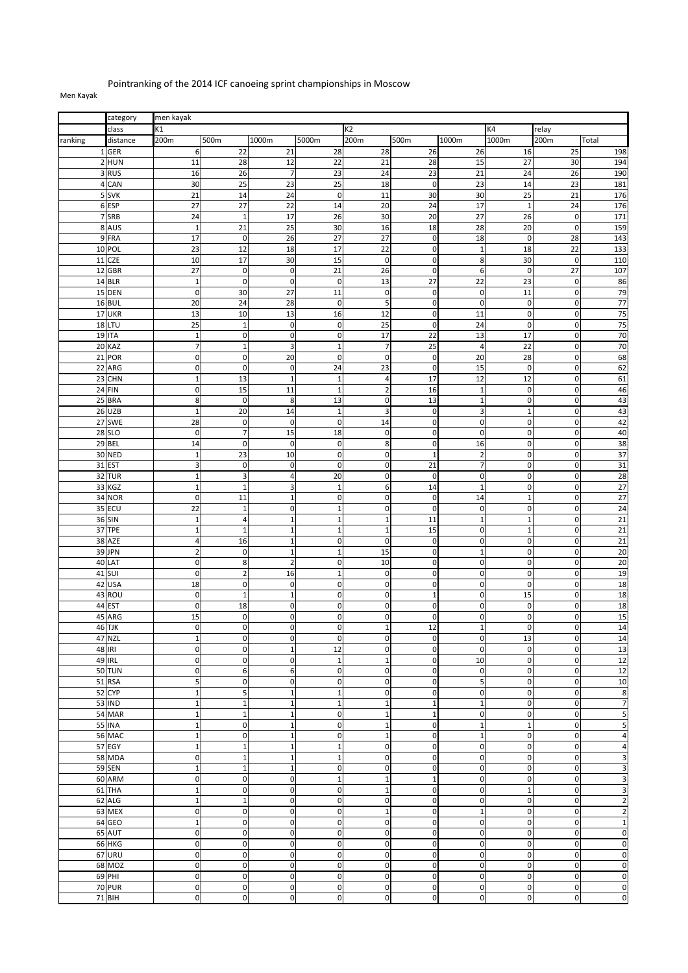## Pointranking of the 2014 ICF canoeing sprint championships in Moscow

## Men Kayak

|         | category                | men kayak                     |                               |                            |                           |                           |                               |                          |                              |                                 |                          |
|---------|-------------------------|-------------------------------|-------------------------------|----------------------------|---------------------------|---------------------------|-------------------------------|--------------------------|------------------------------|---------------------------------|--------------------------|
|         | class                   | K1                            |                               |                            |                           | K2                        |                               |                          | K4                           | relay                           |                          |
| ranking | distance                | 200m                          | 500m                          | 1000m                      | 5000m                     | 200m                      | 500m                          | 1000m                    | 1000m                        | 200m                            | Total                    |
|         | 1 GER                   | 6                             | 22                            | 21                         | 28                        | 28                        | 26                            | 26                       | 16                           | 25                              | 198                      |
|         | $2$ HUN                 | 11                            | 28                            | 12                         | 22                        | 21                        | 28                            | 15                       | 27                           | 30                              | 194                      |
|         | 3RUS                    | 16                            | 26                            | $\overline{7}$             | 23                        | 24                        | 23                            | 21                       | 24                           | 26                              | 190                      |
|         | 4 CAN                   | 30                            | 25                            | 23                         | 25                        | 18                        | $\mathbf 0$                   | 23                       | 14                           | 23                              | 181                      |
|         | 5 SVK                   | 21                            | 14                            | 24                         | $\mathbf 0$               | 11                        | 30                            | 30                       | 25                           | 21                              | 176                      |
|         | 6 ESP                   | 27                            | 27                            | 22                         | 14                        | 20                        | 24                            | 17                       | $\mathbf{1}$                 | 24                              | 176                      |
|         | 7 SRB                   | 24                            | $\mathbf 1$                   | 17                         | 26                        | 30                        | 20                            | 27                       | 26                           | $\pmb{0}$                       | 171                      |
|         | 8 AUS                   | $\mathbf{1}$                  | 21                            | $\overline{25}$            | 30                        | 16                        | 18                            | 28                       | 20                           | $\pmb{0}$                       | 159                      |
|         | 9 FRA                   | 17                            | $\mathbf 0$                   | 26                         | 27                        | 27                        | $\mathbf 0$                   | 18                       | $\mathbf 0$                  | 28                              | 143                      |
|         | 10 POL                  | 23                            | 12                            | 18                         | 17                        | 22                        | $\mathbf 0$                   | $\mathbf 1$              | 18                           | 22                              | 133                      |
| 11      | <b>CZE</b>              | 10                            | 17                            | 30                         | 15                        | $\pmb{0}$                 | $\mathbf 0$                   | 8                        | 30                           | $\pmb{0}$                       | 110                      |
|         | 12 GBR                  | $\overline{27}$               | $\pmb{0}$                     | $\pmb{0}$                  | $\overline{21}$           | $\overline{26}$           | $\mathbf 0$                   | 6                        | $\mathbf 0$                  | $\overline{27}$                 | 107                      |
|         | 14 BLR                  | $\mathbf 1$                   | $\mathbf 0$                   | $\mathbf 0$                | $\mathbf 0$               | 13                        | 27                            | 22                       | 23                           | $\mathbf 0$                     | 86                       |
|         | 15 DEN                  | $\mathbf 0$                   | 30                            | 27                         | 11                        | $\mathbf 0$               | $\mathbf 0$                   | $\pmb{0}$                | 11                           | $\bf 0$                         | 79                       |
|         | 16 BUL                  | 20                            | $\overline{24}$               | 28                         | $\pmb{0}$                 | 5                         | $\mathbf 0$                   | $\pmb{0}$                | $\mathbf 0$                  | $\pmb{0}$                       | 77                       |
|         | 17 UKR                  | 13<br>$\overline{25}$         | 10                            | 13                         | 16                        | 12<br>$\overline{25}$     | $\mathbf 0$                   | 11                       | $\mathbf{0}$<br>$\mathbf{0}$ | $\boldsymbol{0}$<br>$\mathbf 0$ | 75<br>75                 |
|         | 18 LTU                  | $\mathbf 1$                   | $\,1\,$<br>$\mathbf 0$        | $\mathbf 0$<br>$\mathbf 0$ | $\pmb{0}$                 | 17                        | $\mathbf 0$                   | 24                       |                              | $\mathbf 0$                     | 70                       |
|         | 19 ITA<br>20 KAZ        | $\overline{7}$                | $\mathbf 1$                   | $\overline{\mathbf{3}}$    | $\pmb{0}$<br>$\mathbf{1}$ | $\overline{7}$            | 22<br>$\overline{25}$         | 13<br>4                  | 17<br>22                     | $\mathbf 0$                     | 70                       |
| 21      | POR                     | $\pmb{0}$                     | $\mathbf 0$                   | 20                         | $\mathbf 0$               | $\mathbf 0$               | $\mathbf 0$                   | 20                       | 28                           | $\mathbf 0$                     | 68                       |
| 22      | ARG                     | $\mathbf 0$                   | $\mathbf 0$                   | $\pmb{0}$                  | 24                        | 23                        | $\mathbf 0$                   | 15                       | $\mathbf 0$                  | $\mathbf 0$                     | 62                       |
| 23      | <b>CHN</b>              | $\mathbf 1$                   | 13                            | $\mathbf{1}$               | $\mathbf 1$               | $\overline{a}$            | 17                            | 12                       | 12                           | $\mathbf 0$                     | 61                       |
|         | 24 FIN                  | $\mathbf 0$                   | 15                            | 11                         | $\mathbf 1$               | $\overline{\mathbf{c}}$   | 16                            | $\mathbf 1$              | $\mathbf 0$                  | $\boldsymbol{0}$                | 46                       |
|         | 25 BRA                  | 8                             | $\pmb{0}$                     | 8                          | 13                        | $\pmb{0}$                 | 13                            | $\mathbf{1}$             | $\mathbf 0$                  | $\pmb{0}$                       | 43                       |
|         | 26 UZB                  | $\mathbf 1$                   | 20                            | 14                         | $\mathbf 1$               | 3                         | $\mathbf 0$                   | 3                        | $1\,$                        | $\pmb{0}$                       | 43                       |
| 27      | <b>SWE</b>              | 28                            | $\mathbf 0$                   | $\mathbf 0$                | $\mathbf 0$               | 14                        | $\mathbf 0$                   | $\mathbf 0$              | $\mathbf 0$                  | $\mathbf 0$                     | 42                       |
|         | <b>28 SLO</b>           | $\pmb{0}$                     | $\overline{7}$                | 15                         | 18                        | $\pmb{0}$                 | $\mathbf 0$                   | $\mathbf 0$              | $\mathbf{0}$                 | $\mathbf 0$                     | 40                       |
|         | 29 BEL                  | 14                            | $\mathbf 0$                   | $\mathbf 0$                | $\mathbf 0$               | 8                         | $\mathbf 0$                   | 16                       | $\mathbf{0}$                 | $\pmb{0}$                       | 38                       |
|         | <b>30 NED</b>           | $\mathbf 1$                   | 23                            | 10                         | $\mathbf 0$               | $\pmb{0}$                 | $\mathbf{1}$                  | $\overline{c}$           | $\mathbf 0$                  | $\mathbf 0$                     | 37                       |
|         | 31 EST                  | $\mathsf 3$                   | $\mathbf 0$                   | $\mathbf 0$                | $\pmb{0}$                 | $\pmb{0}$                 | 21                            | $\overline{7}$           | $\mathbf 0$                  | $\pmb{0}$                       | 31                       |
|         | 32 TUR                  | $\mathbf 1$                   | $\overline{\mathbf{3}}$       | $\overline{4}$             | 20                        | $\pmb{0}$                 | $\mathbf 0$                   | $\mathbf 0$              | $\overline{0}$               | $\mathbf 0$                     | 28                       |
|         | 33 KGZ                  | $\mathbf 1$                   | $\mathbf{1}$                  | 3                          | $\mathbf 1$               | $\boldsymbol{6}$          | 14                            | $1\,$                    | $\mathbf 0$                  | $\boldsymbol{0}$                | 27                       |
|         | 34 NOR                  | $\mathbf 0$                   | 11                            | $\mathbf{1}$               | $\pmb{0}$                 | $\pmb{0}$                 | $\pmb{0}$                     | 14                       | $\mathbf 1$                  | $\pmb{0}$                       | 27                       |
|         | 35 ECU                  | 22                            | $\,1\,$                       | $\mathbf 0$                | $1\,$                     | $\pmb{0}$                 | $\mathbf 0$                   | $\mathbf 0$              | $\mathbf 0$                  | $\pmb{0}$                       | 24                       |
|         | 36 SIN                  | $\mathbf 1$                   | $\overline{\mathbf{4}}$       | $\mathbf{1}$               | $\mathbf{1}$              | $\mathbf{1}$              | 11                            | $\mathbf{1}$             | $\mathbf{1}$                 | $\mathbf 0$                     | 21                       |
| 37      | <b>TPE</b>              | $\mathbf 1$                   | $\mathbf 1$                   | $\mathbf{1}$               | $\mathbf{1}$              | $\mathbf{1}$              | 15                            | $\mathbf 0$              | $\mathbf{1}$                 | $\mathbf 0$                     | 21                       |
|         | 38 AZE                  | $\sqrt{4}$                    | 16                            | $\mathbf{1}$               | $\pmb{0}$                 | $\pmb{0}$                 | $\mathbf 0$                   | $\mathbf 0$              | $\mathbf 0$                  | $\mathbf 0$                     | $\overline{21}$          |
|         | 39 JPN                  | $\overline{2}$                | $\mathbf 0$                   | $\mathbf{1}$               | $\mathbf 1$               | 15                        | $\mathbf 0$                   | $\mathbf{1}$             | $\mathbf 0$                  | $\mathbf 0$                     | 20                       |
|         | 40 LAT                  | $\pmb{0}$                     | $\bf8$                        | $\overline{2}$             | $\pmb{0}$                 | 10                        | $\pmb{0}$                     | $\pmb{0}$                | $\mathbf 0$                  | $\boldsymbol{0}$                | 20                       |
| 41      | SUI                     | $\pmb{0}$                     | $\mathbf 2$                   | 16                         | $\mathbf 1$               | $\pmb{0}$                 | $\mathbf 0$                   | $\mathbf 0$              | $\mathbf 0$                  | $\pmb{0}$                       | 19                       |
| 42      | <b>USA</b>              | 18                            | $\pmb{0}$                     | $\mathbf 0$                | 0                         | $\pmb{0}$                 | $\pmb{0}$                     | $\pmb{0}$                | $\mathbf 0$                  | $\boldsymbol{0}$                | 18                       |
| 43      | <b>ROU</b>              | $\pmb{0}$                     | $\mathbf{1}$                  | $\mathbf{1}$               | 0                         | $\pmb{0}$                 | $\mathbf 1$                   | $\mathbf 0$              | 15                           | $\pmb{0}$                       | 18                       |
| 44      | <b>EST</b>              | $\pmb{0}$                     | 18<br>$\mathbf 0$             | $\mathbf 0$<br>$\mathbf 0$ | 0<br>$\mathbf 0$          | $\mathbf 0$               | $\pmb{0}$<br>$\mathbf 0$      | $\mathbf 0$<br>0         | $\mathbf 0$<br>$\mathbf 0$   | $\mathbf 0$<br>$\pmb{0}$        | 18                       |
| 45      | ARG<br>46 TJK           | 15<br>$\mathbf{0}$            | $\overline{0}$                | $\Omega$                   | $\overline{0}$            | $\pmb{0}$<br>$\mathbf{1}$ | 12                            | $\mathbf{1}$             | $\overline{0}$               | $\overline{0}$                  | 15<br>14                 |
|         | 47 NZL                  | $1\,$                         | $\mathbf 0$                   | $\mathbf 0$                | $\mathbf 0$               | $\mathbf 0$               | $\mathbf 0$                   | $\pmb{0}$                | 13                           | $\mathbf 0$                     | 14                       |
|         | 48 IRI                  | $\mathbf 0$                   | $\overline{0}$                | $\mathbf{1}$               | 12                        | $\mathbf 0$               | $\mathbf 0$                   | $\mathbf 0$              | $\overline{0}$               | $\overline{0}$                  | 13                       |
|         | 49 IRL                  | $\mathbf 0$                   | $\mathbf 0$                   | 0                          | 1                         | $\mathbf 1$               | $\mathbf 0$                   | 10                       | $\mathbf 0$                  | $\boldsymbol{0}$                | 12                       |
|         | <b>50 TUN</b>           | $\mathbf 0$                   | $\boldsymbol{6}$              | 6                          | $\pmb{0}$                 | $\mathbf 0$               | $\mathbf 0$                   | $\pmb{0}$                | $\pmb{0}$                    | $\overline{0}$                  | 12                       |
|         | <b>51 RSA</b>           | $\sf 5$                       | $\pmb{0}$                     | $\pmb{0}$                  | $\pmb{0}$                 | $\pmb{0}$                 | $\pmb{0}$                     | 5                        | $\mathbf 0$                  | $\boldsymbol{0}$                | 10                       |
|         | 52 CYP                  | $\mathbf 1$                   | 5                             | $\mathbf{1}$               | $\mathbf 1$               | $\mathbf 0$               | $\mathbf 0$                   | $\pmb{0}$                | $\mathbf 0$                  | $\mathbf 0$                     | 8                        |
|         | <b>53 IND</b>           | $\mathbf 1$                   | $\mathbf 1$                   | $\mathbf{1}$               | $\mathbf 1$               | $\mathbf 1$               | $\mathbf 1$                   | $\mathbf 1$              | $\mathbf 0$                  | $\mathbf{0}$                    | $\overline{7}$           |
|         | 54 MAR                  | $\mathbf 1$                   | $\mathbf 1$                   | $\mathbf{1}$               | $\pmb{0}$                 | $\mathbf{1}$              | $\mathbf{1}$                  | $\mathbf 0$              | $\pmb{0}$                    | $\mathbf 0$                     | 5                        |
|         | <b>55 INA</b>           | $\mathbf 1$                   | $\mathbf 0$                   | $\mathbf{1}$               | $\mathbf 0$               | $\mathbf 1$               | $\mathbf 0$                   | $\mathbf{1}$             | $\mathbf{1}$                 | $\overline{0}$                  | 5                        |
|         | <b>56 MAC</b>           | $\mathbf 1$                   | $\mathbf 0$                   | $\mathbf{1}$               | $\pmb{0}$                 | $\mathbf{1}$              | $\mathbf 0$                   | $\mathbf 1$              | $\mathbf 0$                  | $\overline{0}$                  | $\sqrt{4}$               |
|         | 57 EGY                  | $\mathbf 1$                   | $\mathbf 1$                   | $\mathbf{1}$               | $\mathbf 1$               | $\overline{0}$            | $\mathbf 0$                   | $\mathbf 0$              | $\overline{0}$               | $\mathbf 0$                     | $\sqrt{4}$               |
|         | <b>58 MDA</b>           | $\mathbf 0$                   | $\mathbf{1}$                  | $\mathbf{1}$               | 1                         | $\mathbf{0}$              | $\mathbf 0$                   | $\mathbf 0$              | $\mathbf 0$                  | $\boldsymbol{0}$                | 3                        |
|         | <b>59 SEN</b>           | $\mathbf 1$                   | $\mathbf 1$                   | $\mathbf{1}$               | $\pmb{0}$                 | $\mathbf 0$               | $\mathbf 0$                   | $\pmb{0}$                | $\pmb{0}$                    | $\mathbf 0$                     | 3                        |
|         | 60 ARM                  | $\mathbf 0$                   | $\mathbf 0$                   | $\mathbf 0$                | $\mathbf{1}$              | $\mathbf 1$               | $\mathbf{1}$                  | $\pmb{0}$                | $\mathbf 0$                  | $\overline{0}$                  | 3                        |
|         | 61 THA                  | $\mathbf 1$                   | $\mathbf 0$                   | $\mathbf 0$                | $\pmb{0}$                 | $\mathbf{1}$              | $\mathbf 0$                   | $\mathbf 0$              | $\mathbf 1$                  | $\mathbf 0$                     | 3                        |
| 62      | <b>ALG</b>              | $\mathbf 1$                   | $\mathbf 1$                   | $\mathbf 0$                | $\mathbf 0$               | $\mathbf 0$               | $\mathbf 0$                   | $\mathbf 0$              | $\mathbf{0}$                 | $\mathbf 0$                     | $\mathbf 2$              |
|         | 63 MEX                  | $\mathbf 0$                   | $\mathbf 0$                   | $\mathbf 0$                | $\pmb{0}$                 | $\mathbf 1$               | $\mathbf 0$                   | $\mathbf 1$              | $\mathbf 0$                  | $\mathbf 0$                     | $\mathbf 2$              |
|         | 64 GEO                  | $\mathbf 1$                   | $\mathbf 0$                   | $\mathbf 0$                | $\mathbf 0$               | $\mathbf 0$               | $\mathbf 0$                   | $\mathbf 0$              | $\mathbf 0$                  | $\overline{0}$                  | $\mathbf{1}$             |
|         | 65 AUT                  | $\mathbf 0$                   | $\mathbf 0$                   | $\mathbf 0$                | $\mathbf 0$               | $\mathbf 0$               | $\mathbf 0$                   | $\mathbf 0$              | $\overline{0}$               | $\mathbf 0$                     | $\mathbf 0$              |
|         | 66 HKG                  | $\mathbf 0$                   | $\pmb{0}$                     | $\mathbf 0$                | $\pmb{0}$                 | $\mathbf 0$               | $\mathbf 0$                   | $\pmb{0}$                | $\overline{0}$               | $\boldsymbol{0}$                | $\mathbf 0$              |
|         | 67 URU                  | $\pmb{0}$                     | $\pmb{0}$                     | $\pmb{0}$                  | $\pmb{0}$                 | $\pmb{0}$                 | $\mathbf 0$                   | $\pmb{0}$                | $\pmb{0}$                    | $\boldsymbol{0}$                | $\mathbf 0$              |
|         | 68 MOZ                  | $\pmb{0}$                     | $\mathbf 0$                   | $\mathbf 0$                | $\pmb{0}$                 | $\mathbf 0$               | $\mathbf 0$                   | $\pmb{0}$                | $\mathbf 0$                  | $\mathbf 0$                     | $\mathbf 0$              |
|         | 69 PHI<br><b>70 PUR</b> | $\mathbf 0$                   | $\mathbf 0$                   | $\mathbf 0$                | $\pmb{0}$                 | $\mathbf 0$               | $\mathbf 0$                   | $\pmb{0}$                | $\mathbf 0$                  | $\mathbf{0}$                    | $\mathbf 0$<br>$\pmb{0}$ |
|         | 71 BIH                  | $\pmb{0}$<br>$\boldsymbol{0}$ | $\pmb{0}$<br>$\boldsymbol{0}$ | $\bf 0$<br>$\mathbf 0$     | 0<br>$\mathsf{O}\xspace$  | $\pmb{0}$<br>$\mathbf 0$  | $\pmb{0}$<br>$\boldsymbol{0}$ | $\pmb{0}$<br>$\mathbf 0$ | $\mathbf 0$<br>$\mathbf{0}$  | $\pmb{0}$<br>$\boldsymbol{0}$   | 0                        |
|         |                         |                               |                               |                            |                           |                           |                               |                          |                              |                                 |                          |